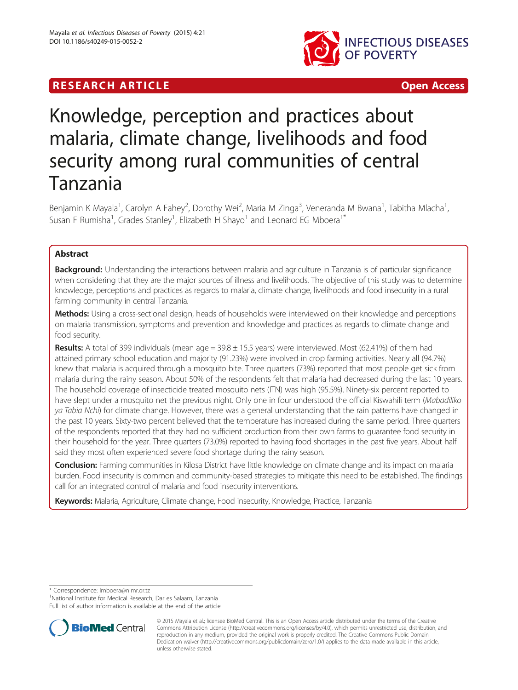# **RESEARCH ARTICLE EXECUTE: CONSIDERING A RESEARCH ARTICLE**



# Knowledge, perception and practices about malaria, climate change, livelihoods and food security among rural communities of central Tanzania

Benjamin K Mayala<sup>1</sup>, Carolyn A Fahey<sup>2</sup>, Dorothy Wei<sup>2</sup>, Maria M Zinga<sup>3</sup>, Veneranda M Bwana<sup>1</sup>, Tabitha Mlacha<sup>1</sup> , Susan F Rumisha<sup>1</sup>, Grades Stanley<sup>1</sup>, Elizabeth H Shayo<sup>1</sup> and Leonard EG Mboera<sup>1\*</sup>

# Abstract

Background: Understanding the interactions between malaria and agriculture in Tanzania is of particular significance when considering that they are the major sources of illness and livelihoods. The objective of this study was to determine knowledge, perceptions and practices as regards to malaria, climate change, livelihoods and food insecurity in a rural farming community in central Tanzania.

Methods: Using a cross-sectional design, heads of households were interviewed on their knowledge and perceptions on malaria transmission, symptoms and prevention and knowledge and practices as regards to climate change and food security.

Results: A total of 399 individuals (mean  $age = 39.8 \pm 15.5$  years) were interviewed. Most (62.41%) of them had attained primary school education and majority (91.23%) were involved in crop farming activities. Nearly all (94.7%) knew that malaria is acquired through a mosquito bite. Three quarters (73%) reported that most people get sick from malaria during the rainy season. About 50% of the respondents felt that malaria had decreased during the last 10 years. The household coverage of insecticide treated mosquito nets (ITN) was high (95.5%). Ninety-six percent reported to have slept under a mosquito net the previous night. Only one in four understood the official Kiswahili term (Mabadiliko ya Tabia Nchi) for climate change. However, there was a general understanding that the rain patterns have changed in the past 10 years. Sixty-two percent believed that the temperature has increased during the same period. Three quarters of the respondents reported that they had no sufficient production from their own farms to guarantee food security in their household for the year. Three quarters (73.0%) reported to having food shortages in the past five years. About half said they most often experienced severe food shortage during the rainy season.

Conclusion: Farming communities in Kilosa District have little knowledge on climate change and its impact on malaria burden. Food insecurity is common and community-based strategies to mitigate this need to be established. The findings call for an integrated control of malaria and food insecurity interventions.

Keywords: Malaria, Agriculture, Climate change, Food insecurity, Knowledge, Practice, Tanzania

\* Correspondence: [lmboera@nimr.or.tz](mailto:lmboera@nimr.or.tz) <sup>1</sup>

<sup>1</sup>National Institute for Medical Research, Dar es Salaam, Tanzania

Full list of author information is available at the end of the article



<sup>© 2015</sup> Mayala et al.; licensee BioMed Central. This is an Open Access article distributed under the terms of the Creative Commons Attribution License [\(http://creativecommons.org/licenses/by/4.0\)](http://creativecommons.org/licenses/by/4.0), which permits unrestricted use, distribution, and reproduction in any medium, provided the original work is properly credited. The Creative Commons Public Domain Dedication waiver [\(http://creativecommons.org/publicdomain/zero/1.0/](http://creativecommons.org/publicdomain/zero/1.0/)) applies to the data made available in this article, unless otherwise stated.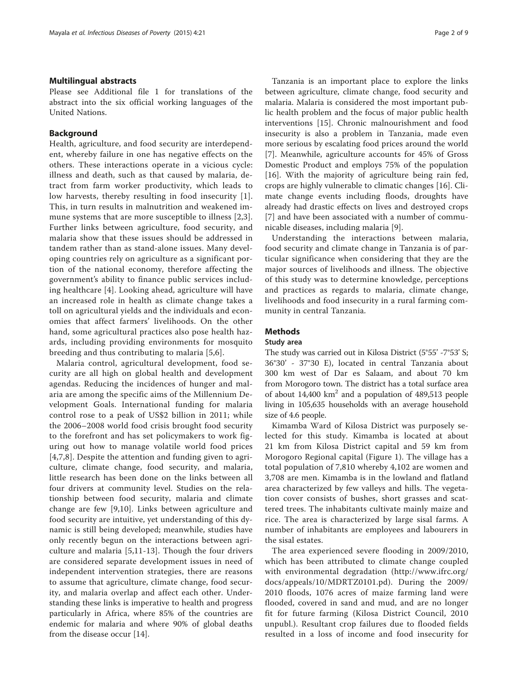#### Multilingual abstracts

Please see Additional file [1](#page-7-0) for translations of the abstract into the six official working languages of the United Nations.

# Background

Health, agriculture, and food security are interdependent, whereby failure in one has negative effects on the others. These interactions operate in a vicious cycle: illness and death, such as that caused by malaria, detract from farm worker productivity, which leads to low harvests, thereby resulting in food insecurity [[1](#page-7-0)]. This, in turn results in malnutrition and weakened immune systems that are more susceptible to illness [[2,3](#page-7-0)]. Further links between agriculture, food security, and malaria show that these issues should be addressed in tandem rather than as stand-alone issues. Many developing countries rely on agriculture as a significant portion of the national economy, therefore affecting the government's ability to finance public services including healthcare [[4](#page-8-0)]. Looking ahead, agriculture will have an increased role in health as climate change takes a toll on agricultural yields and the individuals and economies that affect farmers' livelihoods. On the other hand, some agricultural practices also pose health hazards, including providing environments for mosquito breeding and thus contributing to malaria [[5,6](#page-8-0)].

Malaria control, agricultural development, food security are all high on global health and development agendas. Reducing the incidences of hunger and malaria are among the specific aims of the Millennium Development Goals. International funding for malaria control rose to a peak of US\$2 billion in 2011; while the 2006–2008 world food crisis brought food security to the forefront and has set policymakers to work figuring out how to manage volatile world food prices [[4,7,8](#page-8-0)]. Despite the attention and funding given to agriculture, climate change, food security, and malaria, little research has been done on the links between all four drivers at community level. Studies on the relationship between food security, malaria and climate change are few [[9,10\]](#page-8-0). Links between agriculture and food security are intuitive, yet understanding of this dynamic is still being developed; meanwhile, studies have only recently begun on the interactions between agriculture and malaria [[5,11-13](#page-8-0)]. Though the four drivers are considered separate development issues in need of independent intervention strategies, there are reasons to assume that agriculture, climate change, food security, and malaria overlap and affect each other. Understanding these links is imperative to health and progress particularly in Africa, where 85% of the countries are endemic for malaria and where 90% of global deaths from the disease occur [[14\]](#page-8-0).

Tanzania is an important place to explore the links between agriculture, climate change, food security and malaria. Malaria is considered the most important public health problem and the focus of major public health interventions [[15\]](#page-8-0). Chronic malnourishment and food insecurity is also a problem in Tanzania, made even more serious by escalating food prices around the world [[7\]](#page-8-0). Meanwhile, agriculture accounts for 45% of Gross Domestic Product and employs 75% of the population [[16\]](#page-8-0). With the majority of agriculture being rain fed, crops are highly vulnerable to climatic changes [[16\]](#page-8-0). Climate change events including floods, droughts have already had drastic effects on lives and destroyed crops [[7](#page-8-0)] and have been associated with a number of communicable diseases, including malaria [\[9](#page-8-0)].

Understanding the interactions between malaria, food security and climate change in Tanzania is of particular significance when considering that they are the major sources of livelihoods and illness. The objective of this study was to determine knowledge, perceptions and practices as regards to malaria, climate change, livelihoods and food insecurity in a rural farming community in central Tanzania.

# **Methods**

#### Study area

The study was carried out in Kilosa District (5°55' -7°53' S; 36°30' - 37°30 E), located in central Tanzania about 300 km west of Dar es Salaam, and about 70 km from Morogoro town. The district has a total surface area of about  $14,400 \text{ km}^2$  and a population of  $489,513$  people living in 105,635 households with an average household size of 4.6 people.

Kimamba Ward of Kilosa District was purposely selected for this study. Kimamba is located at about 21 km from Kilosa District capital and 59 km from Morogoro Regional capital (Figure [1\)](#page-2-0). The village has a total population of 7,810 whereby 4,102 are women and 3,708 are men. Kimamba is in the lowland and flatland area characterized by few valleys and hills. The vegetation cover consists of bushes, short grasses and scattered trees. The inhabitants cultivate mainly maize and rice. The area is characterized by large sisal farms. A number of inhabitants are employees and labourers in the sisal estates.

The area experienced severe flooding in 2009/2010, which has been attributed to climate change coupled with environmental degradation [\(http://www.ifrc.org/](http://www.ifrc.org/docs/appeals/10/MDRTZ0101.pd) [docs/appeals/10/MDRTZ0101.pd](http://www.ifrc.org/docs/appeals/10/MDRTZ0101.pd)). During the 2009/ 2010 floods, 1076 acres of maize farming land were flooded, covered in sand and mud, and are no longer fit for future farming (Kilosa District Council, 2010 unpubl.). Resultant crop failures due to flooded fields resulted in a loss of income and food insecurity for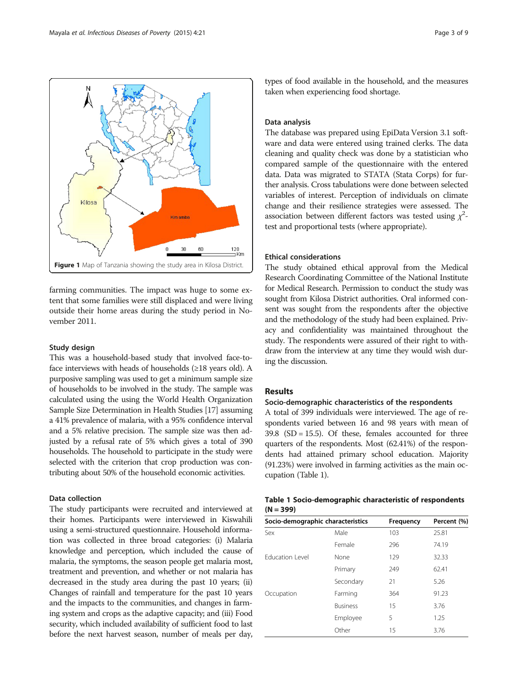<span id="page-2-0"></span>

farming communities. The impact was huge to some extent that some families were still displaced and were living outside their home areas during the study period in November 2011.

# Study design

This was a household-based study that involved face-toface interviews with heads of households  $(\geq 18$  years old). A purposive sampling was used to get a minimum sample size of households to be involved in the study. The sample was calculated using the using the World Health Organization Sample Size Determination in Health Studies [[17](#page-8-0)] assuming a 41% prevalence of malaria, with a 95% confidence interval and a 5% relative precision. The sample size was then adjusted by a refusal rate of 5% which gives a total of 390 households. The household to participate in the study were selected with the criterion that crop production was contributing about 50% of the household economic activities.

# Data collection

The study participants were recruited and interviewed at their homes. Participants were interviewed in Kiswahili using a semi-structured questionnaire. Household information was collected in three broad categories: (i) Malaria knowledge and perception, which included the cause of malaria, the symptoms, the season people get malaria most, treatment and prevention, and whether or not malaria has decreased in the study area during the past 10 years; (ii) Changes of rainfall and temperature for the past 10 years and the impacts to the communities, and changes in farming system and crops as the adaptive capacity; and (iii) Food security, which included availability of sufficient food to last before the next harvest season, number of meals per day, types of food available in the household, and the measures taken when experiencing food shortage.

# Data analysis

The database was prepared using EpiData Version 3.1 software and data were entered using trained clerks. The data cleaning and quality check was done by a statistician who compared sample of the questionnaire with the entered data. Data was migrated to STATA (Stata Corps) for further analysis. Cross tabulations were done between selected variables of interest. Perception of individuals on climate change and their resilience strategies were assessed. The association between different factors was tested using  $\chi^2$ test and proportional tests (where appropriate).

#### Ethical considerations

The study obtained ethical approval from the Medical Research Coordinating Committee of the National Institute for Medical Research. Permission to conduct the study was sought from Kilosa District authorities. Oral informed consent was sought from the respondents after the objective and the methodology of the study had been explained. Privacy and confidentiality was maintained throughout the study. The respondents were assured of their right to withdraw from the interview at any time they would wish during the discussion.

# Results

#### Socio-demographic characteristics of the respondents

A total of 399 individuals were interviewed. The age of respondents varied between 16 and 98 years with mean of 39.8 ( $SD = 15.5$ ). Of these, females accounted for three quarters of the respondents. Most (62.41%) of the respondents had attained primary school education. Majority (91.23%) were involved in farming activities as the main occupation (Table 1).

# Table 1 Socio-demographic characteristic of respondents  $(N = 399)$

| Socio-demographic characteristics |                 | Frequency | Percent (%) |  |
|-----------------------------------|-----------------|-----------|-------------|--|
| Sex                               | Male            | 103       | 25.81       |  |
|                                   | Female          | 296       | 74.19       |  |
| <b>Education Level</b>            | None            | 129       | 32.33       |  |
|                                   | Primary         | 249       | 62.41       |  |
|                                   | Secondary       | 21        | 5.26        |  |
| Occupation                        | Farming         | 364       | 91.23       |  |
|                                   | <b>Business</b> | 15        | 3.76        |  |
|                                   | Employee        | 5         | 1.25        |  |
|                                   | Other           | 15        | 3.76        |  |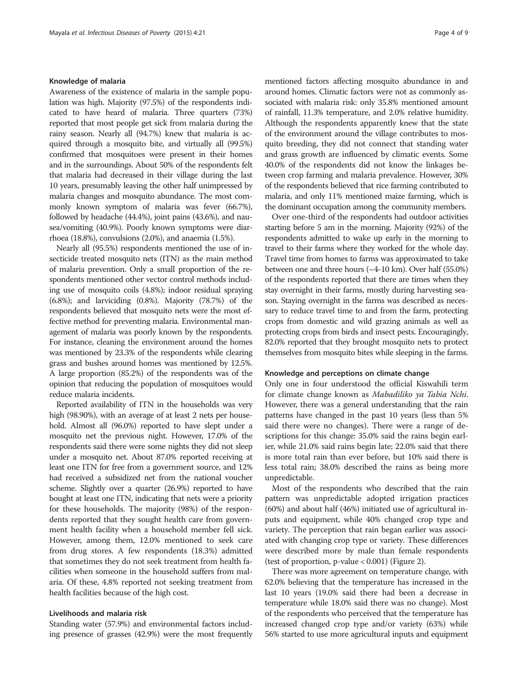#### Knowledge of malaria

Awareness of the existence of malaria in the sample population was high. Majority (97.5%) of the respondents indicated to have heard of malaria. Three quarters (73%) reported that most people get sick from malaria during the rainy season. Nearly all (94.7%) knew that malaria is acquired through a mosquito bite, and virtually all (99.5%) confirmed that mosquitoes were present in their homes and in the surroundings. About 50% of the respondents felt that malaria had decreased in their village during the last 10 years, presumably leaving the other half unimpressed by malaria changes and mosquito abundance. The most commonly known symptom of malaria was fever (66.7%), followed by headache (44.4%), joint pains (43.6%), and nausea/vomiting (40.9%). Poorly known symptoms were diarrhoea (18.8%), convulsions (2.0%), and anaemia (1.5%).

Nearly all (95.5%) respondents mentioned the use of insecticide treated mosquito nets (ITN) as the main method of malaria prevention. Only a small proportion of the respondents mentioned other vector control methods including use of mosquito coils (4.8%); indoor residual spraying (6.8%); and larviciding (0.8%). Majority (78.7%) of the respondents believed that mosquito nets were the most effective method for preventing malaria. Environmental management of malaria was poorly known by the respondents. For instance, cleaning the environment around the homes was mentioned by 23.3% of the respondents while clearing grass and bushes around homes was mentioned by 12.5%. A large proportion (85.2%) of the respondents was of the opinion that reducing the population of mosquitoes would reduce malaria incidents.

Reported availability of ITN in the households was very high (98.90%), with an average of at least 2 nets per household. Almost all (96.0%) reported to have slept under a mosquito net the previous night. However, 17.0% of the respondents said there were some nights they did not sleep under a mosquito net. About 87.0% reported receiving at least one ITN for free from a government source, and 12% had received a subsidized net from the national voucher scheme. Slightly over a quarter (26.9%) reported to have bought at least one ITN, indicating that nets were a priority for these households. The majority (98%) of the respondents reported that they sought health care from government health facility when a household member fell sick. However, among them, 12.0% mentioned to seek care from drug stores. A few respondents (18.3%) admitted that sometimes they do not seek treatment from health facilities when someone in the household suffers from malaria. Of these, 4.8% reported not seeking treatment from health facilities because of the high cost.

#### Livelihoods and malaria risk

Standing water (57.9%) and environmental factors including presence of grasses (42.9%) were the most frequently

mentioned factors affecting mosquito abundance in and around homes. Climatic factors were not as commonly associated with malaria risk: only 35.8% mentioned amount of rainfall, 11.3% temperature, and 2.0% relative humidity. Although the respondents apparently knew that the state of the environment around the village contributes to mosquito breeding, they did not connect that standing water and grass growth are influenced by climatic events. Some 40.0% of the respondents did not know the linkages between crop farming and malaria prevalence. However, 30% of the respondents believed that rice farming contributed to malaria, and only 11% mentioned maize farming, which is the dominant occupation among the community members.

Over one-third of the respondents had outdoor activities starting before 5 am in the morning. Majority (92%) of the respondents admitted to wake up early in the morning to travel to their farms where they worked for the whole day. Travel time from homes to farms was approximated to take between one and three hours (~4-10 km). Over half (55.0%) of the respondents reported that there are times when they stay overnight in their farms, mostly during harvesting season. Staying overnight in the farms was described as necessary to reduce travel time to and from the farm, protecting crops from domestic and wild grazing animals as well as protecting crops from birds and insect pests. Encouragingly, 82.0% reported that they brought mosquito nets to protect themselves from mosquito bites while sleeping in the farms.

#### Knowledge and perceptions on climate change

Only one in four understood the official Kiswahili term for climate change known as Mabadiliko ya Tabia Nchi. However, there was a general understanding that the rain patterns have changed in the past 10 years (less than 5% said there were no changes). There were a range of descriptions for this change: 35.0% said the rains begin earlier, while 21.0% said rains begin late; 22.0% said that there is more total rain than ever before, but 10% said there is less total rain; 38.0% described the rains as being more unpredictable.

Most of the respondents who described that the rain pattern was unpredictable adopted irrigation practices (60%) and about half (46%) initiated use of agricultural inputs and equipment, while 40% changed crop type and variety. The perception that rain began earlier was associated with changing crop type or variety. These differences were described more by male than female respondents (test of proportion, p-value < 0.001) (Figure [2](#page-4-0)).

There was more agreement on temperature change, with 62.0% believing that the temperature has increased in the last 10 years (19.0% said there had been a decrease in temperature while 18.0% said there was no change). Most of the respondents who perceived that the temperature has increased changed crop type and/or variety (63%) while 56% started to use more agricultural inputs and equipment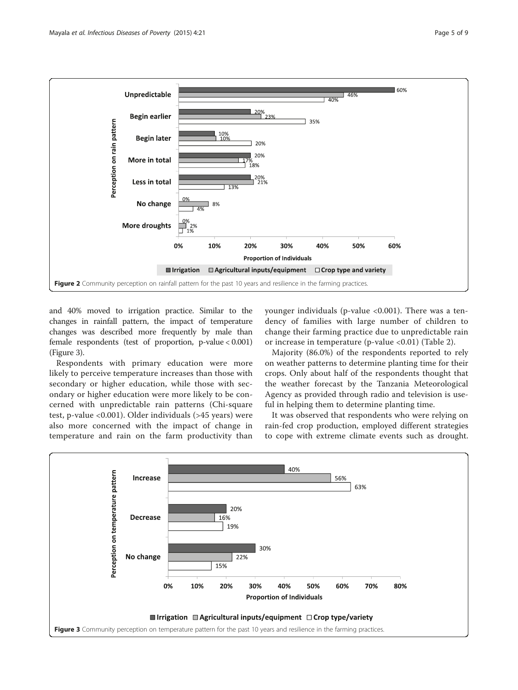<span id="page-4-0"></span>

and 40% moved to irrigation practice. Similar to the changes in rainfall pattern, the impact of temperature changes was described more frequently by male than female respondents (test of proportion, p-value < 0.001) (Figure 3).

Respondents with primary education were more likely to perceive temperature increases than those with secondary or higher education, while those with secondary or higher education were more likely to be concerned with unpredictable rain patterns (Chi-square test, p-value <0.001). Older individuals (>45 years) were also more concerned with the impact of change in temperature and rain on the farm productivity than younger individuals (p-value <0.001). There was a tendency of families with large number of children to change their farming practice due to unpredictable rain or increase in temperature (p-value <0.01) (Table [2\)](#page-5-0).

Majority (86.0%) of the respondents reported to rely on weather patterns to determine planting time for their crops. Only about half of the respondents thought that the weather forecast by the Tanzania Meteorological Agency as provided through radio and television is useful in helping them to determine planting time.

It was observed that respondents who were relying on rain-fed crop production, employed different strategies to cope with extreme climate events such as drought.

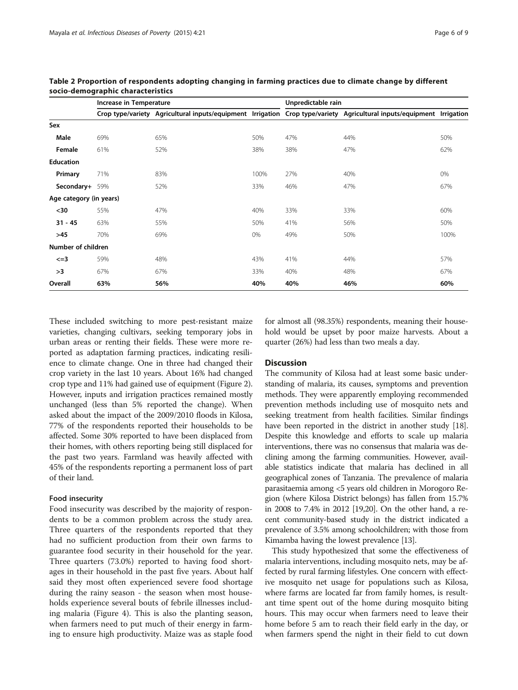|                         | Increase in Temperature |                                                                                                                       |      | Unpredictable rain |     |      |
|-------------------------|-------------------------|-----------------------------------------------------------------------------------------------------------------------|------|--------------------|-----|------|
|                         |                         | Crop type/variety Agricultural inputs/equipment Irrigation Crop type/variety Agricultural inputs/equipment Irrigation |      |                    |     |      |
| Sex                     |                         |                                                                                                                       |      |                    |     |      |
| Male                    | 69%                     | 65%                                                                                                                   | 50%  | 47%                | 44% | 50%  |
| Female                  | 61%                     | 52%                                                                                                                   | 38%  | 38%                | 47% | 62%  |
| <b>Education</b>        |                         |                                                                                                                       |      |                    |     |      |
| Primary                 | 71%                     | 83%                                                                                                                   | 100% | 27%                | 40% | 0%   |
| Secondary+              | 59%                     | 52%                                                                                                                   | 33%  | 46%                | 47% | 67%  |
| Age category (in years) |                         |                                                                                                                       |      |                    |     |      |
| $30$                    | 55%                     | 47%                                                                                                                   | 40%  | 33%                | 33% | 60%  |
| $31 - 45$               | 63%                     | 55%                                                                                                                   | 50%  | 41%                | 56% | 50%  |
| $>45$                   | 70%                     | 69%                                                                                                                   | 0%   | 49%                | 50% | 100% |
| Number of children      |                         |                                                                                                                       |      |                    |     |      |
| $\leq$ =3               | 59%                     | 48%                                                                                                                   | 43%  | 41%                | 44% | 57%  |
| >3                      | 67%                     | 67%                                                                                                                   | 33%  | 40%                | 48% | 67%  |
| Overall                 | 63%                     | 56%                                                                                                                   | 40%  | 40%                | 46% | 60%  |

<span id="page-5-0"></span>Table 2 Proportion of respondents adopting changing in farming practices due to climate change by different socio-demographic characteristics

These included switching to more pest-resistant maize varieties, changing cultivars, seeking temporary jobs in urban areas or renting their fields. These were more reported as adaptation farming practices, indicating resilience to climate change. One in three had changed their crop variety in the last 10 years. About 16% had changed crop type and 11% had gained use of equipment (Figure [2](#page-4-0)). However, inputs and irrigation practices remained mostly unchanged (less than 5% reported the change). When asked about the impact of the 2009/2010 floods in Kilosa, 77% of the respondents reported their households to be affected. Some 30% reported to have been displaced from their homes, with others reporting being still displaced for the past two years. Farmland was heavily affected with 45% of the respondents reporting a permanent loss of part of their land.

#### Food insecurity

Food insecurity was described by the majority of respondents to be a common problem across the study area. Three quarters of the respondents reported that they had no sufficient production from their own farms to guarantee food security in their household for the year. Three quarters (73.0%) reported to having food shortages in their household in the past five years. About half said they most often experienced severe food shortage during the rainy season - the season when most households experience several bouts of febrile illnesses including malaria (Figure [4](#page-6-0)). This is also the planting season, when farmers need to put much of their energy in farming to ensure high productivity. Maize was as staple food

for almost all (98.35%) respondents, meaning their household would be upset by poor maize harvests. About a quarter (26%) had less than two meals a day.

#### **Discussion**

The community of Kilosa had at least some basic understanding of malaria, its causes, symptoms and prevention methods. They were apparently employing recommended prevention methods including use of mosquito nets and seeking treatment from health facilities. Similar findings have been reported in the district in another study [[18](#page-8-0)]. Despite this knowledge and efforts to scale up malaria interventions, there was no consensus that malaria was declining among the farming communities. However, available statistics indicate that malaria has declined in all geographical zones of Tanzania. The prevalence of malaria parasitaemia among <5 years old children in Morogoro Region (where Kilosa District belongs) has fallen from 15.7% in 2008 to 7.4% in 2012 [\[19,20](#page-8-0)]. On the other hand, a recent community-based study in the district indicated a prevalence of 3.5% among schoolchildren; with those from Kimamba having the lowest prevalence [[13](#page-8-0)].

This study hypothesized that some the effectiveness of malaria interventions, including mosquito nets, may be affected by rural farming lifestyles. One concern with effective mosquito net usage for populations such as Kilosa, where farms are located far from family homes, is resultant time spent out of the home during mosquito biting hours. This may occur when farmers need to leave their home before 5 am to reach their field early in the day, or when farmers spend the night in their field to cut down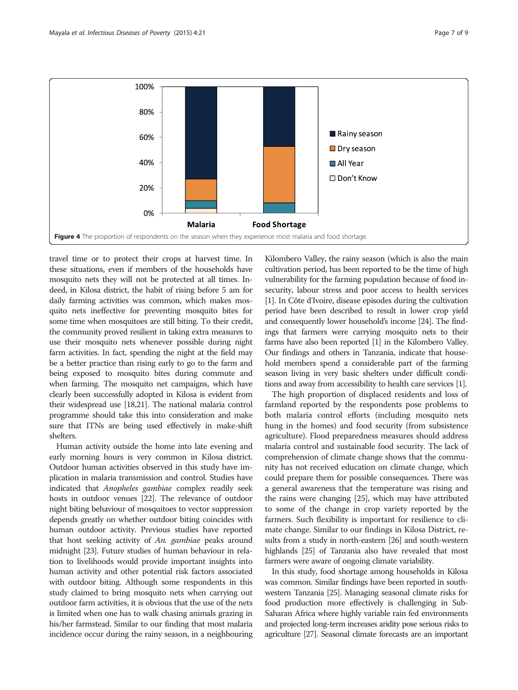<span id="page-6-0"></span>

travel time or to protect their crops at harvest time. In these situations, even if members of the households have mosquito nets they will not be protected at all times. Indeed, in Kilosa district, the habit of rising before 5 am for daily farming activities was common, which makes mosquito nets ineffective for preventing mosquito bites for some time when mosquitoes are still biting. To their credit, the community proved resilient in taking extra measures to use their mosquito nets whenever possible during night farm activities. In fact, spending the night at the field may be a better practice than rising early to go to the farm and being exposed to mosquito bites during commute and when farming. The mosquito net campaigns, which have clearly been successfully adopted in Kilosa is evident from their widespread use [[18,21\]](#page-8-0). The national malaria control programme should take this into consideration and make sure that ITNs are being used effectively in make-shift shelters.

Human activity outside the home into late evening and early morning hours is very common in Kilosa district. Outdoor human activities observed in this study have implication in malaria transmission and control. Studies have indicated that Anopheles gambiae complex readily seek hosts in outdoor venues [\[22\]](#page-8-0). The relevance of outdoor night biting behaviour of mosquitoes to vector suppression depends greatly on whether outdoor biting coincides with human outdoor activity. Previous studies have reported that host seeking activity of An. gambiae peaks around midnight [\[23\]](#page-8-0). Future studies of human behaviour in relation to livelihoods would provide important insights into human activity and other potential risk factors associated with outdoor biting. Although some respondents in this study claimed to bring mosquito nets when carrying out outdoor farm activities, it is obvious that the use of the nets is limited when one has to walk chasing animals grazing in his/her farmstead. Similar to our finding that most malaria incidence occur during the rainy season, in a neighbouring Kilombero Valley, the rainy season (which is also the main cultivation period, has been reported to be the time of high vulnerability for the farming population because of food insecurity, labour stress and poor access to health services [[1](#page-7-0)]. In Côte d'Ivoire, disease episodes during the cultivation period have been described to result in lower crop yield and consequently lower household's income [\[24](#page-8-0)]. The findings that farmers were carrying mosquito nets to their farms have also been reported [\[1\]](#page-7-0) in the Kilombero Valley. Our findings and others in Tanzania, indicate that household members spend a considerable part of the farming season living in very basic shelters under difficult conditions and away from accessibility to health care services [\[1](#page-7-0)].

The high proportion of displaced residents and loss of farmland reported by the respondents pose problems to both malaria control efforts (including mosquito nets hung in the homes) and food security (from subsistence agriculture). Flood preparedness measures should address malaria control and sustainable food security. The lack of comprehension of climate change shows that the community has not received education on climate change, which could prepare them for possible consequences. There was a general awareness that the temperature was rising and the rains were changing [\[25](#page-8-0)], which may have attributed to some of the change in crop variety reported by the farmers. Such flexibility is important for resilience to climate change. Similar to our findings in Kilosa District, results from a study in north-eastern [[26](#page-8-0)] and south-western highlands [\[25](#page-8-0)] of Tanzania also have revealed that most farmers were aware of ongoing climate variability.

In this study, food shortage among households in Kilosa was common. Similar findings have been reported in southwestern Tanzania [\[25](#page-8-0)]. Managing seasonal climate risks for food production more effectively is challenging in Sub-Saharan Africa where highly variable rain fed environments and projected long-term increases aridity pose serious risks to agriculture [\[27](#page-8-0)]. Seasonal climate forecasts are an important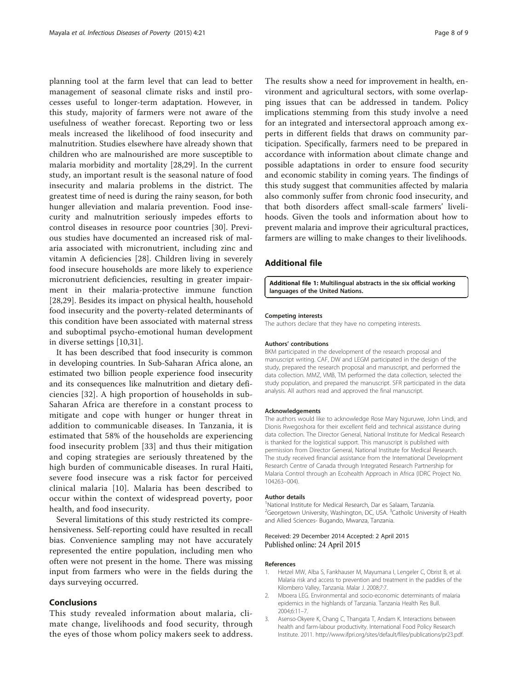<span id="page-7-0"></span>planning tool at the farm level that can lead to better management of seasonal climate risks and instil processes useful to longer-term adaptation. However, in this study, majority of farmers were not aware of the usefulness of weather forecast. Reporting two or less meals increased the likelihood of food insecurity and malnutrition. Studies elsewhere have already shown that children who are malnourished are more susceptible to malaria morbidity and mortality [\[28](#page-8-0),[29](#page-8-0)]. In the current study, an important result is the seasonal nature of food insecurity and malaria problems in the district. The greatest time of need is during the rainy season, for both hunger alleviation and malaria prevention. Food insecurity and malnutrition seriously impedes efforts to control diseases in resource poor countries [[30\]](#page-8-0). Previous studies have documented an increased risk of malaria associated with micronutrient, including zinc and vitamin A deficiencies [[28\]](#page-8-0). Children living in severely food insecure households are more likely to experience micronutrient deficiencies, resulting in greater impairment in their malaria-protective immune function [[28,29](#page-8-0)]. Besides its impact on physical health, household food insecurity and the poverty-related determinants of this condition have been associated with maternal stress and suboptimal psycho-emotional human development in diverse settings [[10,31](#page-8-0)].

It has been described that food insecurity is common in developing countries. In Sub-Saharan Africa alone, an estimated two billion people experience food insecurity and its consequences like malnutrition and dietary deficiencies [[32\]](#page-8-0). A high proportion of households in sub-Saharan Africa are therefore in a constant process to mitigate and cope with hunger or hunger threat in addition to communicable diseases. In Tanzania, it is estimated that 58% of the households are experiencing food insecurity problem [\[33](#page-8-0)] and thus their mitigation and coping strategies are seriously threatened by the high burden of communicable diseases. In rural Haiti, severe food insecure was a risk factor for perceived clinical malaria [\[10\]](#page-8-0). Malaria has been described to occur within the context of widespread poverty, poor health, and food insecurity.

Several limitations of this study restricted its comprehensiveness. Self-reporting could have resulted in recall bias. Convenience sampling may not have accurately represented the entire population, including men who often were not present in the home. There was missing input from farmers who were in the fields during the days surveying occurred.

# Conclusions

This study revealed information about malaria, climate change, livelihoods and food security, through the eyes of those whom policy makers seek to address.

The results show a need for improvement in health, environment and agricultural sectors, with some overlapping issues that can be addressed in tandem. Policy implications stemming from this study involve a need for an integrated and intersectoral approach among experts in different fields that draws on community participation. Specifically, farmers need to be prepared in accordance with information about climate change and possible adaptations in order to ensure food security and economic stability in coming years. The findings of this study suggest that communities affected by malaria also commonly suffer from chronic food insecurity, and that both disorders affect small-scale farmers' livelihoods. Given the tools and information about how to prevent malaria and improve their agricultural practices, farmers are willing to make changes to their livelihoods.

# Additional file

[Additional file 1:](http://www.idpjournal.com/content/supplementary/s40249-015-0052-2-s1.pdf) Multilingual abstracts in the six official working languages of the United Nations.

#### Competing interests

The authors declare that they have no competing interests.

#### Authors' contributions

BKM participated in the development of the research proposal and manuscript writing. CAF, DW and LEGM participated in the design of the study, prepared the research proposal and manuscript, and performed the data collection. MMZ, VMB, TM performed the data collection, selected the study population, and prepared the manuscript. SFR participated in the data analysis. All authors read and approved the final manuscript.

#### Acknowledgements

The authors would like to acknowledge Rose Mary Nguruwe, John Lindi, and Dionis Rwegoshora for their excellent field and technical assistance during data collection. The Director General, National Institute for Medical Research is thanked for the logistical support. This manuscript is published with permission from Director General, National Institute for Medical Research. The study received financial assistance from the International Development Research Centre of Canada through Integrated Research Partnership for Malaria Control through an Ecohealth Approach in Africa (IDRC Project No. 104263–004).

#### Author details

<sup>1</sup>National Institute for Medical Research, Dar es Salaam, Tanzania. <sup>2</sup>Georgetown University, Washington, DC, USA. <sup>3</sup>Catholic University of Health and Allied Sciences- Bugando, Mwanza, Tanzania.

#### Received: 29 December 2014 Accepted: 2 April 2015 Published online: 24 April 2015

#### References

- 1. Hetzel MW, Alba S, Fankhauser M, Mayumana I, Lengeler C, Obrist B, et al. Malaria risk and access to prevention and treatment in the paddies of the Kilombero Valley, Tanzania. Malar J. 2008;7:7.
- 2. Mboera LEG. Environmental and socio-economic determinants of malaria epidemics in the highlands of Tanzania. Tanzania Health Res Bull. 2004;6:11–7.
- 3. Asenso-Okyere K, Chang C, Thangata T, Andam K. Interactions between health and farm-labour productivity. International Food Policy Research Institute. 2011.<http://www.ifpri.org/sites/default/files/publications/pr23.pdf>.